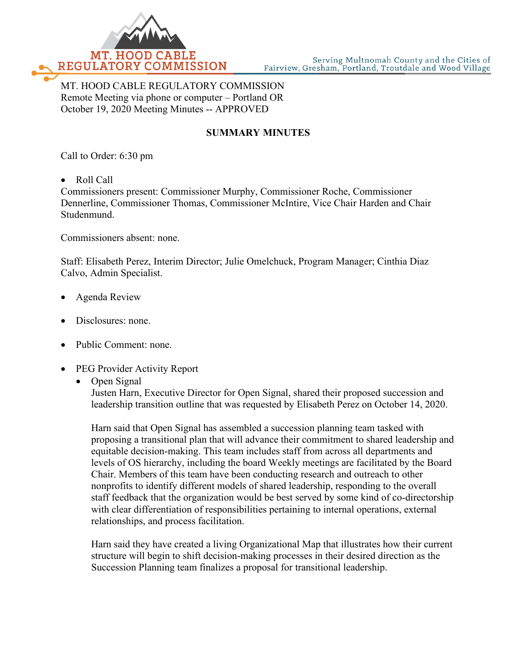

MT. HOOD CABLE REGULATORY COMMISSION Remote Meeting via phone or computer – Portland OR October 19, 2020 Meeting Minutes -- APPROVED

## **SUMMARY MINUTES**

Call to Order: 6:30 pm

• Roll Call

Commissioners present: Commissioner Murphy, Commissioner Roche, Commissioner Dennerline, Commissioner Thomas, Commissioner McIntire, Vice Chair Harden and Chair Studenmund.

Commissioners absent: none.

Staff: Elisabeth Perez, Interim Director; Julie Omelchuck, Program Manager; Cinthia Diaz Calvo, Admin Specialist.

- Agenda Review
- Disclosures: none.
- Public Comment: none.
- PEG Provider Activity Report
	- Open Signal

Justen Harn, Executive Director for Open Signal, shared their proposed succession and leadership transition outline that was requested by Elisabeth Perez on October 14, 2020.

Harn said that Open Signal has assembled a succession planning team tasked with proposing a transitional plan that will advance their commitment to shared leadership and equitable decision-making. This team includes staff from across all departments and levels of OS hierarchy, including the board Weekly meetings are facilitated by the Board Chair. Members of this team have been conducting research and outreach to other nonprofits to identify different models of shared leadership, responding to the overall staff feedback that the organization would be best served by some kind of co-directorship with clear differentiation of responsibilities pertaining to internal operations, external relationships, and process facilitation.

Harn said they have created a living Organizational Map that illustrates how their current structure will begin to shift decision-making processes in their desired direction as the Succession Planning team finalizes a proposal for transitional leadership.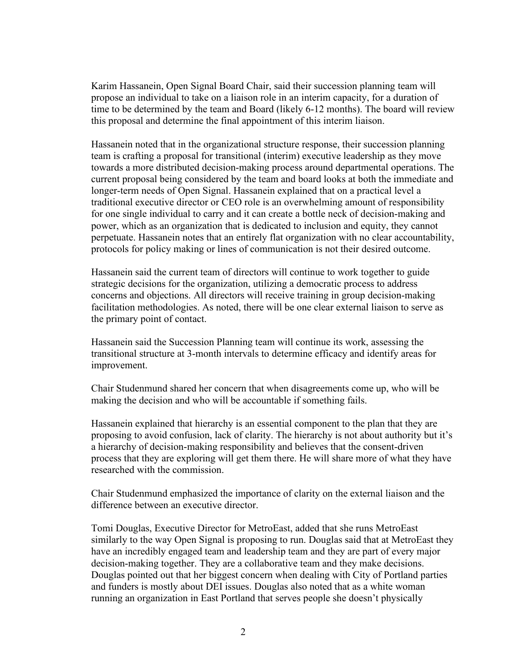Karim Hassanein, Open Signal Board Chair, said their succession planning team will propose an individual to take on a liaison role in an interim capacity, for a duration of time to be determined by the team and Board (likely 6-12 months). The board will review this proposal and determine the final appointment of this interim liaison.

Hassanein noted that in the organizational structure response, their succession planning team is crafting a proposal for transitional (interim) executive leadership as they move towards a more distributed decision-making process around departmental operations. The current proposal being considered by the team and board looks at both the immediate and longer-term needs of Open Signal. Hassanein explained that on a practical level a traditional executive director or CEO role is an overwhelming amount of responsibility for one single individual to carry and it can create a bottle neck of decision-making and power, which as an organization that is dedicated to inclusion and equity, they cannot perpetuate. Hassanein notes that an entirely flat organization with no clear accountability, protocols for policy making or lines of communication is not their desired outcome.

Hassanein said the current team of directors will continue to work together to guide strategic decisions for the organization, utilizing a democratic process to address concerns and objections. All directors will receive training in group decision-making facilitation methodologies. As noted, there will be one clear external liaison to serve as the primary point of contact.

Hassanein said the Succession Planning team will continue its work, assessing the transitional structure at 3-month intervals to determine efficacy and identify areas for improvement.

Chair Studenmund shared her concern that when disagreements come up, who will be making the decision and who will be accountable if something fails.

Hassanein explained that hierarchy is an essential component to the plan that they are proposing to avoid confusion, lack of clarity. The hierarchy is not about authority but it's a hierarchy of decision-making responsibility and believes that the consent-driven process that they are exploring will get them there. He will share more of what they have researched with the commission.

Chair Studenmund emphasized the importance of clarity on the external liaison and the difference between an executive director.

Tomi Douglas, Executive Director for MetroEast, added that she runs MetroEast similarly to the way Open Signal is proposing to run. Douglas said that at MetroEast they have an incredibly engaged team and leadership team and they are part of every major decision-making together. They are a collaborative team and they make decisions. Douglas pointed out that her biggest concern when dealing with City of Portland parties and funders is mostly about DEI issues. Douglas also noted that as a white woman running an organization in East Portland that serves people she doesn't physically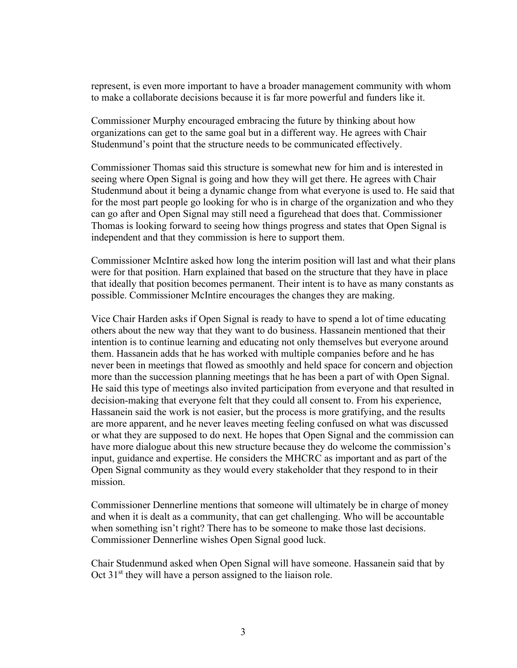represent, is even more important to have a broader management community with whom to make a collaborate decisions because it is far more powerful and funders like it.

Commissioner Murphy encouraged embracing the future by thinking about how organizations can get to the same goal but in a different way. He agrees with Chair Studenmund's point that the structure needs to be communicated effectively.

Commissioner Thomas said this structure is somewhat new for him and is interested in seeing where Open Signal is going and how they will get there. He agrees with Chair Studenmund about it being a dynamic change from what everyone is used to. He said that for the most part people go looking for who is in charge of the organization and who they can go after and Open Signal may still need a figurehead that does that. Commissioner Thomas is looking forward to seeing how things progress and states that Open Signal is independent and that they commission is here to support them.

Commissioner McIntire asked how long the interim position will last and what their plans were for that position. Harn explained that based on the structure that they have in place that ideally that position becomes permanent. Their intent is to have as many constants as possible. Commissioner McIntire encourages the changes they are making.

Vice Chair Harden asks if Open Signal is ready to have to spend a lot of time educating others about the new way that they want to do business. Hassanein mentioned that their intention is to continue learning and educating not only themselves but everyone around them. Hassanein adds that he has worked with multiple companies before and he has never been in meetings that flowed as smoothly and held space for concern and objection more than the succession planning meetings that he has been a part of with Open Signal. He said this type of meetings also invited participation from everyone and that resulted in decision-making that everyone felt that they could all consent to. From his experience, Hassanein said the work is not easier, but the process is more gratifying, and the results are more apparent, and he never leaves meeting feeling confused on what was discussed or what they are supposed to do next. He hopes that Open Signal and the commission can have more dialogue about this new structure because they do welcome the commission's input, guidance and expertise. He considers the MHCRC as important and as part of the Open Signal community as they would every stakeholder that they respond to in their mission.

Commissioner Dennerline mentions that someone will ultimately be in charge of money and when it is dealt as a community, that can get challenging. Who will be accountable when something isn't right? There has to be someone to make those last decisions. Commissioner Dennerline wishes Open Signal good luck.

Chair Studenmund asked when Open Signal will have someone. Hassanein said that by Oct 31<sup>st</sup> they will have a person assigned to the liaison role.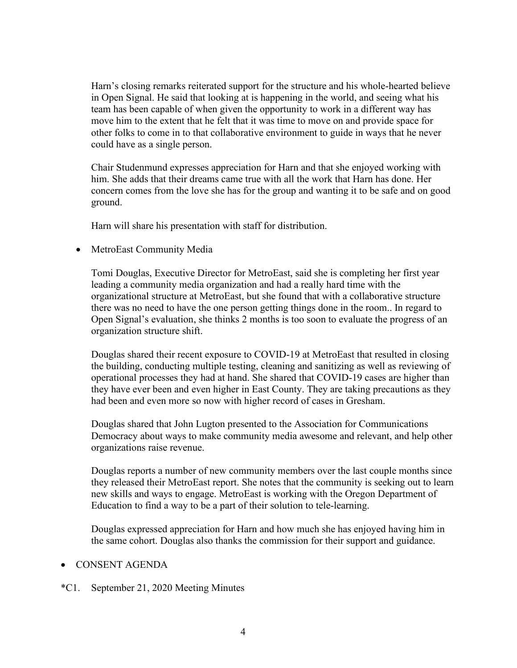Harn's closing remarks reiterated support for the structure and his whole-hearted believe in Open Signal. He said that looking at is happening in the world, and seeing what his team has been capable of when given the opportunity to work in a different way has move him to the extent that he felt that it was time to move on and provide space for other folks to come in to that collaborative environment to guide in ways that he never could have as a single person.

Chair Studenmund expresses appreciation for Harn and that she enjoyed working with him. She adds that their dreams came true with all the work that Harn has done. Her concern comes from the love she has for the group and wanting it to be safe and on good ground.

Harn will share his presentation with staff for distribution.

• MetroEast Community Media

Tomi Douglas, Executive Director for MetroEast, said she is completing her first year leading a community media organization and had a really hard time with the organizational structure at MetroEast, but she found that with a collaborative structure there was no need to have the one person getting things done in the room.. In regard to Open Signal's evaluation, she thinks 2 months is too soon to evaluate the progress of an organization structure shift.

Douglas shared their recent exposure to COVID-19 at MetroEast that resulted in closing the building, conducting multiple testing, cleaning and sanitizing as well as reviewing of operational processes they had at hand. She shared that COVID-19 cases are higher than they have ever been and even higher in East County. They are taking precautions as they had been and even more so now with higher record of cases in Gresham.

Douglas shared that John Lugton presented to the Association for Communications Democracy about ways to make community media awesome and relevant, and help other organizations raise revenue.

Douglas reports a number of new community members over the last couple months since they released their MetroEast report. She notes that the community is seeking out to learn new skills and ways to engage. MetroEast is working with the Oregon Department of Education to find a way to be a part of their solution to tele-learning.

Douglas expressed appreciation for Harn and how much she has enjoyed having him in the same cohort. Douglas also thanks the commission for their support and guidance.

## • CONSENT AGENDA

\*C1. September 21, 2020 Meeting Minutes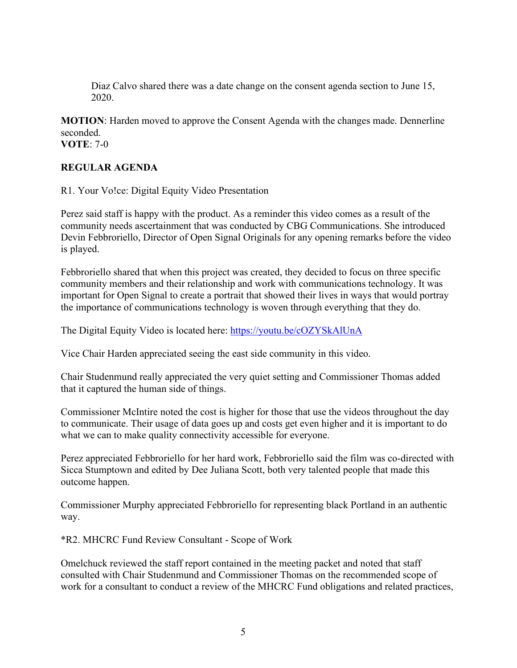Diaz Calvo shared there was a date change on the consent agenda section to June 15, 2020.

**MOTION**: Harden moved to approve the Consent Agenda with the changes made. Dennerline seconded.

**VOTE**: 7-0

## **REGULAR AGENDA**

R1. Your Vo!ce: Digital Equity Video Presentation

Perez said staff is happy with the product. As a reminder this video comes as a result of the community needs ascertainment that was conducted by CBG Communications. She introduced Devin Febbroriello, Director of Open Signal Originals for any opening remarks before the video is played.

Febbroriello shared that when this project was created, they decided to focus on three specific community members and their relationship and work with communications technology. It was important for Open Signal to create a portrait that showed their lives in ways that would portray the importance of communications technology is woven through everything that they do.

The Digital Equity Video is located here:<https://youtu.be/cOZYSkAlUnA>

Vice Chair Harden appreciated seeing the east side community in this video.

Chair Studenmund really appreciated the very quiet setting and Commissioner Thomas added that it captured the human side of things.

Commissioner McIntire noted the cost is higher for those that use the videos throughout the day to communicate. Their usage of data goes up and costs get even higher and it is important to do what we can to make quality connectivity accessible for everyone.

Perez appreciated Febbroriello for her hard work, Febbroriello said the film was co-directed with Sicca Stumptown and edited by Dee Juliana Scott, both very talented people that made this outcome happen.

Commissioner Murphy appreciated Febbroriello for representing black Portland in an authentic way.

\*R2. MHCRC Fund Review Consultant - Scope of Work

Omelchuck reviewed the staff report contained in the meeting packet and noted that staff consulted with Chair Studenmund and Commissioner Thomas on the recommended scope of work for a consultant to conduct a review of the MHCRC Fund obligations and related practices,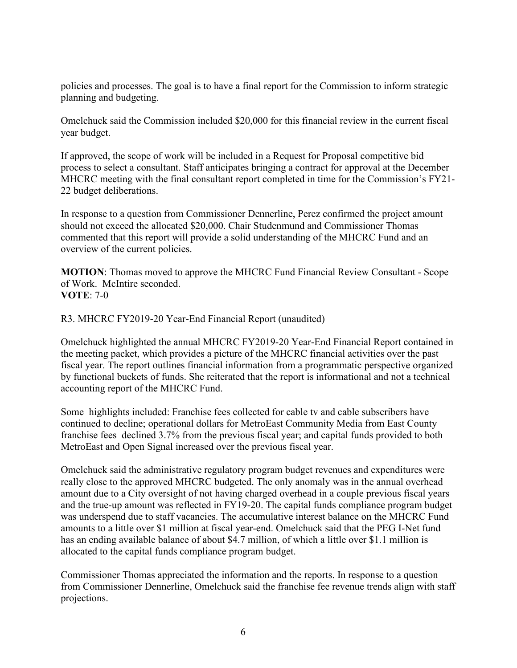policies and processes. The goal is to have a final report for the Commission to inform strategic planning and budgeting.

Omelchuck said the Commission included \$20,000 for this financial review in the current fiscal year budget.

If approved, the scope of work will be included in a Request for Proposal competitive bid process to select a consultant. Staff anticipates bringing a contract for approval at the December MHCRC meeting with the final consultant report completed in time for the Commission's FY21- 22 budget deliberations.

In response to a question from Commissioner Dennerline, Perez confirmed the project amount should not exceed the allocated \$20,000. Chair Studenmund and Commissioner Thomas commented that this report will provide a solid understanding of the MHCRC Fund and an overview of the current policies.

**MOTION**: Thomas moved to approve the MHCRC Fund Financial Review Consultant - Scope of Work. McIntire seconded. **VOTE**: 7-0

R3. MHCRC FY2019-20 Year-End Financial Report (unaudited)

Omelchuck highlighted the annual MHCRC FY2019-20 Year-End Financial Report contained in the meeting packet, which provides a picture of the MHCRC financial activities over the past fiscal year. The report outlines financial information from a programmatic perspective organized by functional buckets of funds. She reiterated that the report is informational and not a technical accounting report of the MHCRC Fund.

Some highlights included: Franchise fees collected for cable tv and cable subscribers have continued to decline; operational dollars for MetroEast Community Media from East County franchise fees declined 3.7% from the previous fiscal year; and capital funds provided to both MetroEast and Open Signal increased over the previous fiscal year.

Omelchuck said the administrative regulatory program budget revenues and expenditures were really close to the approved MHCRC budgeted. The only anomaly was in the annual overhead amount due to a City oversight of not having charged overhead in a couple previous fiscal years and the true-up amount was reflected in FY19-20. The capital funds compliance program budget was underspend due to staff vacancies. The accumulative interest balance on the MHCRC Fund amounts to a little over \$1 million at fiscal year-end. Omelchuck said that the PEG I-Net fund has an ending available balance of about \$4.7 million, of which a little over \$1.1 million is allocated to the capital funds compliance program budget.

Commissioner Thomas appreciated the information and the reports. In response to a question from Commissioner Dennerline, Omelchuck said the franchise fee revenue trends align with staff projections.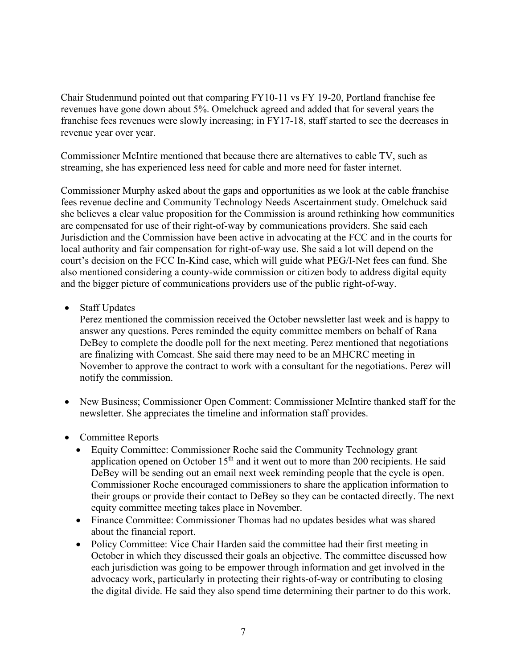Chair Studenmund pointed out that comparing FY10-11 vs FY 19-20, Portland franchise fee revenues have gone down about 5%. Omelchuck agreed and added that for several years the franchise fees revenues were slowly increasing; in FY17-18, staff started to see the decreases in revenue year over year.

Commissioner McIntire mentioned that because there are alternatives to cable TV, such as streaming, she has experienced less need for cable and more need for faster internet.

Commissioner Murphy asked about the gaps and opportunities as we look at the cable franchise fees revenue decline and Community Technology Needs Ascertainment study. Omelchuck said she believes a clear value proposition for the Commission is around rethinking how communities are compensated for use of their right-of-way by communications providers. She said each Jurisdiction and the Commission have been active in advocating at the FCC and in the courts for local authority and fair compensation for right-of-way use. She said a lot will depend on the court's decision on the FCC In-Kind case, which will guide what PEG/I-Net fees can fund. She also mentioned considering a county-wide commission or citizen body to address digital equity and the bigger picture of communications providers use of the public right-of-way.

• Staff Updates

Perez mentioned the commission received the October newsletter last week and is happy to answer any questions. Peres reminded the equity committee members on behalf of Rana DeBey to complete the doodle poll for the next meeting. Perez mentioned that negotiations are finalizing with Comcast. She said there may need to be an MHCRC meeting in November to approve the contract to work with a consultant for the negotiations. Perez will notify the commission.

- New Business; Commissioner Open Comment: Commissioner McIntire thanked staff for the newsletter. She appreciates the timeline and information staff provides.
- Committee Reports
	- Equity Committee: Commissioner Roche said the Community Technology grant application opened on October  $15<sup>th</sup>$  and it went out to more than 200 recipients. He said DeBey will be sending out an email next week reminding people that the cycle is open. Commissioner Roche encouraged commissioners to share the application information to their groups or provide their contact to DeBey so they can be contacted directly. The next equity committee meeting takes place in November.
	- Finance Committee: Commissioner Thomas had no updates besides what was shared about the financial report.
	- Policy Committee: Vice Chair Harden said the committee had their first meeting in October in which they discussed their goals an objective. The committee discussed how each jurisdiction was going to be empower through information and get involved in the advocacy work, particularly in protecting their rights-of-way or contributing to closing the digital divide. He said they also spend time determining their partner to do this work.